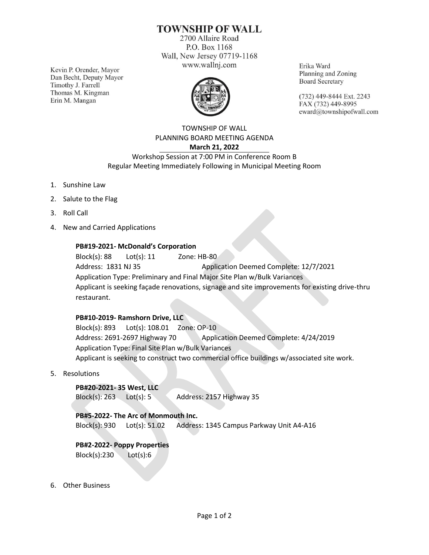# **TOWNSHIP OF WALL**

2700 Allaire Road P.O. Box 1168 Wall, New Jersey 07719-1168 www.wallnj.com

Kevin P. Orender, Mayor Dan Becht, Deputy Mayor Timothy J. Farrell Thomas M. Kingman Erin M. Mangan



Erika Ward Planning and Zoning **Board Secretary** 

(732) 449-8444 Ext. 2243 FAX (732) 449-8995 eward@townshipofwall.com

TOWNSHIP OF WALL PLANNING BOARD MEETING AGENDA **March 21, 2022**

Workshop Session at 7:00 PM in Conference Room B Regular Meeting Immediately Following in Municipal Meeting Room

- 1. Sunshine Law
- 2. Salute to the Flag
- 3. Roll Call
- 4. New and Carried Applications

## **PB#19-2021- McDonald's Corporation**

Block(s): 88 Lot(s): 11 Zone: HB-80 Address: 1831 NJ 35 Application Deemed Complete: 12/7/2021 Application Type: Preliminary and Final Major Site Plan w/Bulk Variances Applicant is seeking façade renovations, signage and site improvements for existing drive-thru restaurant.

## **PB#10-2019- Ramshorn Drive, LLC**

Block(s): 893 Lot(s): 108.01 Zone: OP-10 Address: 2691-2697 Highway 70 Application Deemed Complete: 4/24/2019 Application Type: Final Site Plan w/Bulk Variances Applicant is seeking to construct two commercial office buildings w/associated site work.

5. Resolutions

#### **PB#20-2021- 35 West, LLC**

Block(s): 263 Lot(s): 5 Address: 2157 Highway 35

## **PB#5-2022- The Arc of Monmouth Inc.**

Block(s): 930 Lot(s): 51.02 Address: 1345 Campus Parkway Unit A4-A16

## **PB#2-2022- Poppy Properties**

Block(s):230 Lot(s):6

6. Other Business